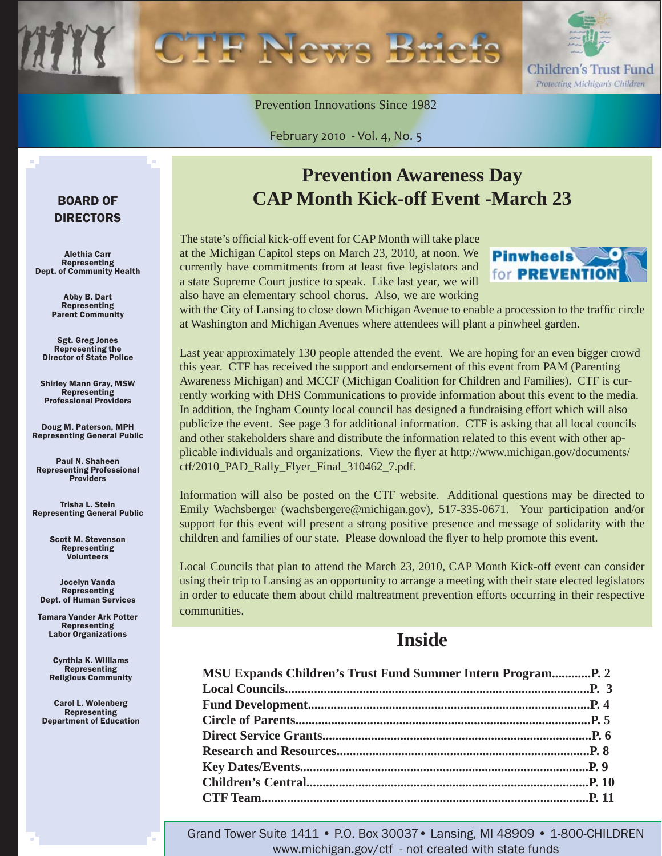

Prevention Innovations Since 1982

February 2010 - Vol. 4, No. 5

### BOARD OF DIRECTORS

Alethia Carr Representing Dept. of Community Health

> Abby B. Dart Representing Parent Community

Sgt. Greg Jones Representing the Director of State Police

Shirley Mann Gray, MSW **Representing** Professional Providers

Doug M. Paterson, MPH Representing General Public

Paul N. Shaheen Representing Professional Providers

Trisha L. Stein Representing General Public

> Scott M. Stevenson Representing **Volunteers**

Jocelyn Vanda Representing Dept. of Human Services

Tamara Vander Ark Potter Representing Labor Organizations

> Cynthia K. Williams Representing Religious Community

Carol L. Wolenberg Representing Department of Education

### **Prevention Awareness Day CAP Month Kick-off Event -March 23**

The state's official kick-off event for CAP Month will take place at the Michigan Capitol steps on March 23, 2010, at noon. We currently have commitments from at least five legislators and a state Supreme Court justice to speak. Like last year, we will also have an elementary school chorus. Also, we are working



with the City of Lansing to close down Michigan Avenue to enable a procession to the traffic circle at Washington and Michigan Avenues where attendees will plant a pinwheel garden.

Last year approximately 130 people attended the event. We are hoping for an even bigger crowd this year. CTF has received the support and endorsement of this event from PAM (Parenting Awareness Michigan) and MCCF (Michigan Coalition for Children and Families). CTF is currently working with DHS Communications to provide information about this event to the media. In addition, the Ingham County local council has designed a fundraising effort which will also publicize the event. See page 3 for additional information. CTF is asking that all local councils and other stakeholders share and distribute the information related to this event with other applicable individuals and organizations. View the flyer at http://www.michigan.gov/documents/ [ctf/2010\\_PAD\\_Rally\\_Flyer\\_Final\\_310462\\_7.pdf.](http://www.michigan.gov/documents/ctf/2010_PAD_Rally_Flyer_Final_310462_7.pdf)

Information will also be posted on the CTF website. Additional questions may be directed to Emily Wachsberger (wachsbergere@michigan.gov), 517-335-0671. Your participation and/or support for this event will present a strong positive presence and message of solidarity with the children and families of our state. Please download the flyer to help promote this event.

Local Councils that plan to attend the March 23, 2010, CAP Month Kick-off event can consider using their trip to Lansing as an opportunity to arrange a meeting with their state elected legislators in order to educate them about child maltreatment prevention efforts occurring in their respective communities.

### **Inside**

| <b>MSU Expands Children's Trust Fund Summer Intern Program P. 2</b> |  |
|---------------------------------------------------------------------|--|
|                                                                     |  |
|                                                                     |  |
|                                                                     |  |
|                                                                     |  |
|                                                                     |  |
|                                                                     |  |
|                                                                     |  |
|                                                                     |  |
|                                                                     |  |

Grand Tower Suite 1411 • P.O. Box 30037• Lansing, MI 48909 • 1-800-CHILDREN www.michigan.gov/ctf - not created with state funds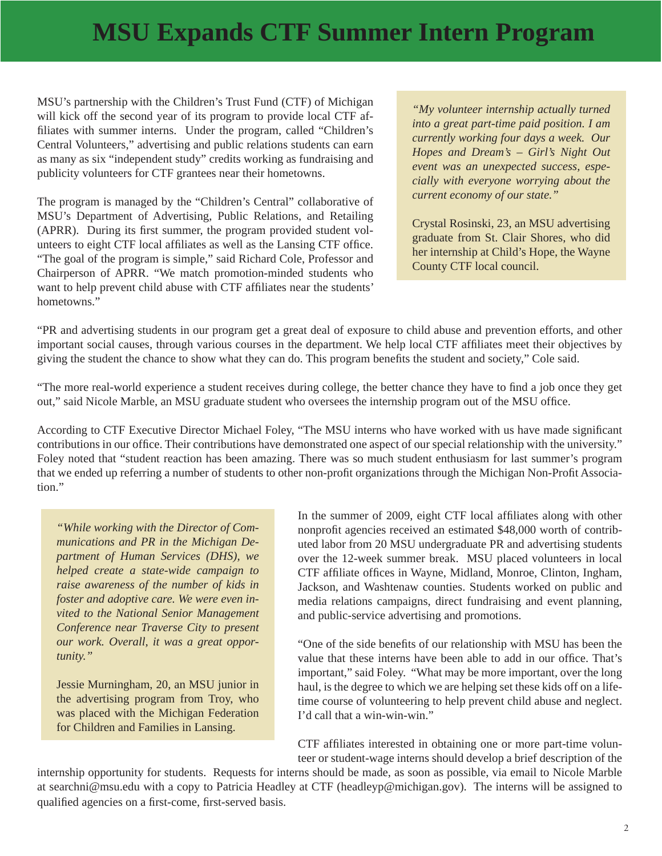## <span id="page-1-0"></span> **MSU Expands CTF Summer Intern Program**

MSU's partnership with the Children's Trust Fund (CTF) of Michigan will kick off the second year of its program to provide local CTF affiliates with summer interns. Under the program, called "Children's Central Volunteers," advertising and public relations students can earn as many as six "independent study" credits working as fundraising and publicity volunteers for CTF grantees near their hometowns.

The program is managed by the "Children's Central" collaborative of MSU's Department of Advertising, Public Relations, and Retailing (APRR). During its first summer, the program provided student volunteers to eight CTF local affiliates as well as the Lansing CTF office. "The goal of the program is simple," said Richard Cole, Professor and Chairperson of APRR. "We match promotion-minded students who want to help prevent child abuse with CTF affiliates near the students' hometowns."

*"My volunteer internship actually turned into a great part-time paid position. I am currently working four days a week. Our Hopes and Dream's – Girl's Night Out event was an unexpected success, especially with everyone worrying about the current economy of our state."*

Crystal Rosinski, 23, an MSU advertising graduate from St. Clair Shores, who did her internship at Child's Hope, the Wayne County CTF local council.

"PR and advertising students in our program get a great deal of exposure to child abuse and prevention efforts, and other important social causes, through various courses in the department. We help local CTF affiliates meet their objectives by giving the student the chance to show what they can do. This program benefits the student and society," Cole said.

"The more real-world experience a student receives during college, the better chance they have to find a job once they get out," said Nicole Marble, an MSU graduate student who oversees the internship program out of the MSU office.

According to CTF Executive Director Michael Foley, "The MSU interns who have worked with us have made significant contributions in our office. Their contributions have demonstrated one aspect of our special relationship with the university." Foley noted that "student reaction has been amazing. There was so much student enthusiasm for last summer's program that we ended up referring a number of students to other non-profit organizations through the Michigan Non-Profit Association."

*"While working with the Director of Communications and PR in the Michigan Department of Human Services (DHS), we helped create a state-wide campaign to raise awareness of the number of kids in foster and adoptive care. We were even invited to the National Senior Management Conference near Traverse City to present our work. Overall, it was a great opportunity."* 

Jessie Murningham, 20, an MSU junior in the advertising program from Troy, who was placed with the Michigan Federation for Children and Families in Lansing.

In the summer of 2009, eight CTF local affiliates along with other nonprofit agencies received an estimated \$48,000 worth of contributed labor from 20 MSU undergraduate PR and advertising students over the 12-week summer break. MSU placed volunteers in local CTF affiliate offices in Wayne, Midland, Monroe, Clinton, Ingham, Jackson, and Washtenaw counties. Students worked on public and media relations campaigns, direct fundraising and event planning, and public-service advertising and promotions.

"One of the side benefits of our relationship with MSU has been the value that these interns have been able to add in our office. That's important," said Foley. "What may be more important, over the long haul, is the degree to which we are helping set these kids off on a lifetime course of volunteering to help prevent child abuse and neglect. I'd call that a win-win-win."

CTF affiliates interested in obtaining one or more part-time volunteer or student-wage interns should develop a brief description of the

internship opportunity for students. Requests for interns should be made, as soon as possible, via email to Nicole Marble at searchni@msu.edu with a copy to Patricia Headley at CTF (headleyp@michigan.gov). The interns will be assigned to qualified agencies on a first-come, first-served basis.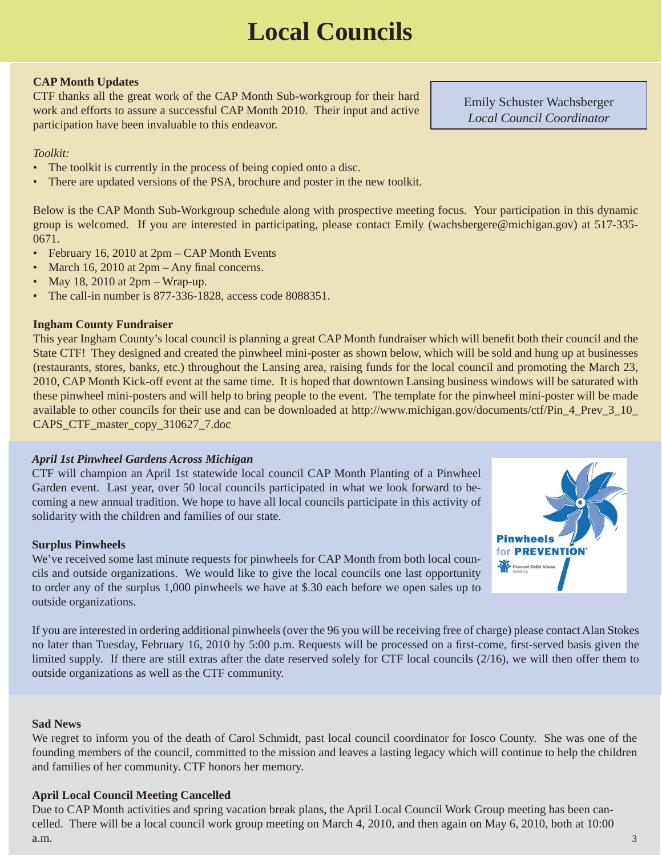# **Local Councils**

#### <span id="page-2-0"></span>**CAP Month Updates**

CTF thanks all the great work of the CAP Month Sub-workgroup for their hard work and efforts to assure a successful CAP Month 2010. Their input and active participation have been invaluable to this endeavor.

#### *Toolkit:*

- The toolkit is currently in the process of being copied onto a disc.
- There are updated versions of the PSA, brochure and poster in the new toolkit.

Below is the CAP Month Sub-Workgroup schedule along with prospective meeting focus. Your participation in this dynamic group is welcomed. If you are interested in participating, please contact Emily (wachsbergere@michigan.gov) at 517-335- 0671.

- February 16, 2010 at 2pm CAP Month Events
- March 16, 2010 at  $2pm Any final concerns.$
- May 18, 2010 at  $2pm Wrap-up$ .
- The call-in number is 877-336-1828, access code 8088351.

#### **Ingham County Fundraiser**

This year Ingham County's local council is planning a great CAP Month fundraiser which will benefit both their council and the State CTF! They designed and created the pinwheel mini-poster as shown below, which will be sold and hung up at businesses (restaurants, stores, banks, etc.) throughout the Lansing area, raising funds for the local council and promoting the March 23, 2010, CAP Month Kick-off event at the same time. It is hoped that downtown Lansing business windows will be saturated with these pinwheel mini-posters and will help to bring people to the event. The template for the pinwheel mini-poster will be made [available to other councils for their use and can be downloaded at http://www.michigan.gov/documents/ctf/Pin\\_4\\_Prev\\_3\\_10\\_](http://www.michigan.gov/documents/ctf/Pin_4_Prev_3_10_CAPS_CTF_master_copy_310627_7.doc) CAPS\_CTF\_master\_copy\_310627\_7.doc

#### *April 1st Pinwheel Gardens Across Michigan*

CTF will champion an April 1st statewide local council CAP Month Planting of a Pinwheel Garden event. Last year, over 50 local councils participated in what we look forward to becoming a new annual tradition. We hope to have all local councils participate in this activity of solidarity with the children and families of our state.

#### **Surplus Pinwheels**

We've received some last minute requests for pinwheels for CAP Month from both local councils and outside organizations. We would like to give the local councils one last opportunity to order any of the surplus 1,000 pinwheels we have at \$.30 each before we open sales up to outside organizations.

If you are interested in ordering additional pinwheels (over the 96 you will be receiving free of charge) please contact Alan Stokes no later than Tuesday, February 16, 2010 by 5:00 p.m. Requests will be processed on a first-come, first-served basis given the limited supply. If there are still extras after the date reserved solely for CTF local councils (2/16), we will then offer them to outside organizations as well as the CTF community.

#### **Sad News**

We regret to inform you of the death of Carol Schmidt, past local council coordinator for Iosco County. She was one of the founding members of the council, committed to the mission and leaves a lasting legacy which will continue to help the children and families of her community. CTF honors her memory.

#### **April Local Council Meeting Cancelled**

Due to CAP Month activities and spring vacation break plans, the April Local Council Work Group meeting has been cancelled. There will be a local council work group meeting on March 4, 2010, and then again on May 6, 2010, both at 10:00  $a.m.$  3



Emily Schuster Wachsberger *Local Council Coordinator*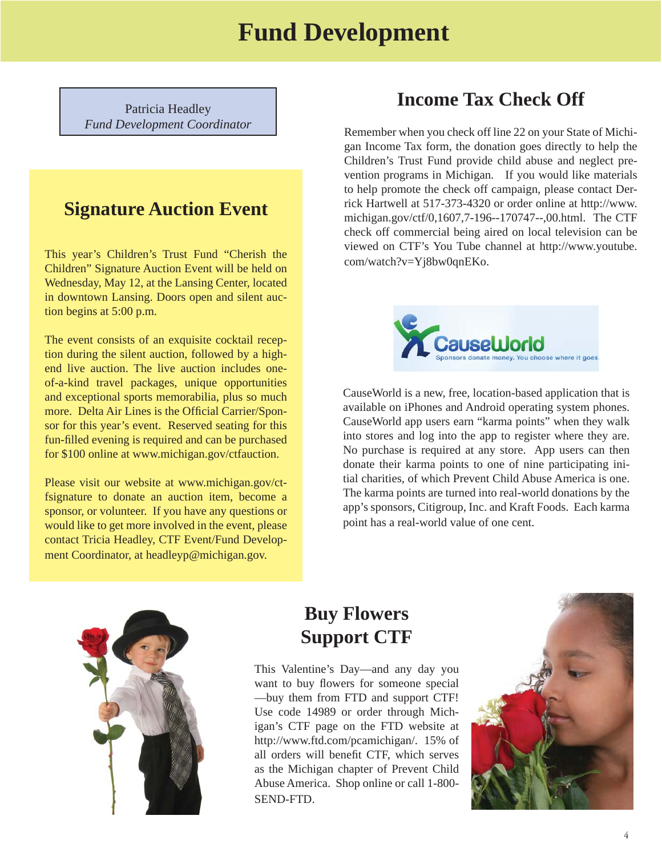### **Fund Development**

<span id="page-3-0"></span>Patricia Headley *Fund Development Coordinator*

### **Signature Auction Event**

This year's Children's Trust Fund "Cherish the Children" Signature Auction Event will be held on Wednesday, May 12, at the Lansing Center, located in downtown Lansing. Doors open and silent auction begins at 5:00 p.m.

The event consists of an exquisite cocktail reception during the silent auction, followed by a highend live auction. The live auction includes oneof-a-kind travel packages, unique opportunities and exceptional sports memorabilia, plus so much more. Delta Air Lines is the Official Carrier/Sponsor for this year's event. Reserved seating for this fun-filled evening is required and can be purchased for \$100 online at www.michigan.gov/ctfauction.

Please visit our website at www.michigan.gov/ctfsignature to donate an auction item, become a sponsor, or volunteer. If you have any questions or would like to get more involved in the event, please contact Tricia Headley, CTF Event/Fund Development Coordinator, at headleyp@michigan.gov.

### **Income Tax Check Off**

Remember when you check off line 22 on your State of Michigan Income Tax form, the donation goes directly to help the Children's Trust Fund provide child abuse and neglect prevention programs in Michigan. If you would like materials to help promote the check off campaign, please contact Derrick Hartwell at 517-373-4320 or order online at http://www. [michigan.gov/ctf/0,1607,7-196--170747--,00.html. The CTF](http://www.michigan.gov/ctf/0,1607,7-196--170747--,00.html)  check off commercial being aired on local television can be [viewed on CTF's You Tube channel at http://www.youtube.](http://www.youtube.com/watch?v=Yj8bw0qnEKo) com/watch?v=Yj8bw0qnEKo.



CauseWorld is a new, free, location-based application that is available on iPhones and Android operating system phones. CauseWorld app users earn "karma points" when they walk into stores and log into the app to register where they are. No purchase is required at any store. App users can then donate their karma points to one of nine participating initial charities, of which Prevent Child Abuse America is one. The karma points are turned into real-world donations by the app's sponsors, Citigroup, Inc. and Kraft Foods. Each karma point has a real-world value of one cent.



### **Buy Flowers Support CTF**

This Valentine's Day—and any day you want to buy flowers for someone special —buy them from FTD and support CTF! Use code 14989 or order through Michigan's CTF page on the FTD website at http://www.ftd.com/pcamichigan/. 15% of all orders will benefit CTF, which serves as the Michigan chapter of Prevent Child Abuse America. Shop online or call 1-800- SEND-FTD.

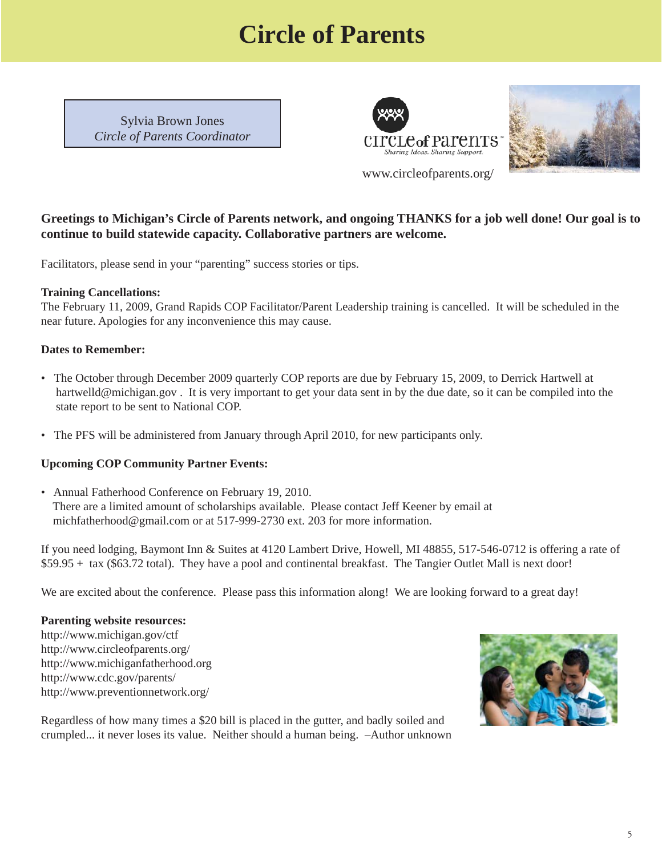## **Circle of Parents**

<span id="page-4-0"></span>Sylvia Brown Jones *Circle of Parents Coordinator*





### **Greetings to Michigan's Circle of Parents network, and ongoing THANKS for a job well done! Our goal is to continue to build statewide capacity. Collaborative partners are welcome.**

Facilitators, please send in your "parenting" success stories or tips.

#### **Training Cancellations:**

The February 11, 2009, Grand Rapids COP Facilitator/Parent Leadership training is cancelled. It will be scheduled in the near future. Apologies for any inconvenience this may cause.

#### **Dates to Remember:**

- The October through December 2009 quarterly COP reports are due by February 15, 2009, to Derrick Hartwell at hartwelld@michigan.gov. It is very important to get your data sent in by the due date, so it can be compiled into the state report to be sent to National COP.
- The PFS will be administered from January through April 2010, for new participants only.

#### **Upcoming COP Community Partner Events:**

• Annual Fatherhood Conference on February 19, 2010. There are a limited amount of scholarships available. Please contact Jeff Keener by email at michfatherhood@gmail.com or at 517-999-2730 ext. 203 for more information.

If you need lodging, Baymont Inn & Suites at 4120 Lambert Drive, Howell, MI 48855, 517-546-0712 is offering a rate of \$59.95 + tax (\$63.72 total). They have a pool and continental breakfast. The Tangier Outlet Mall is next door!

We are excited about the conference. Please pass this information along! We are looking forward to a great day!

#### **Parenting website resources:**

http://www.michigan.gov/ctf http://www.circleofparents.org/ http://www.michiganfatherhood.org http://www.cdc.gov/parents/ http://www.preventionnetwork.org/



Regardless of how many times a \$20 bill is placed in the gutter, and badly soiled and crumpled... it never loses its value. Neither should a human being. –Author unknown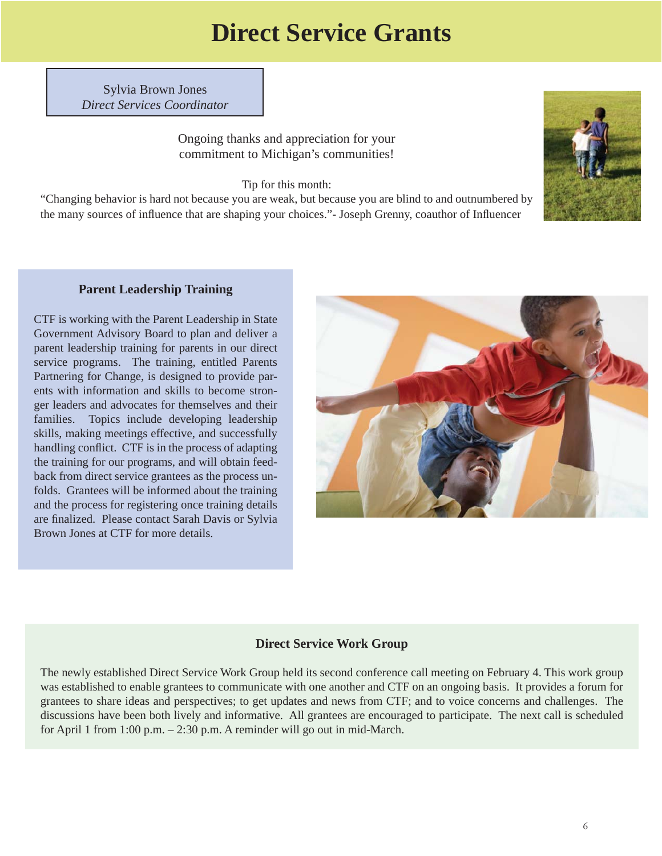## **Direct Service Grants**

<span id="page-5-0"></span>Sylvia Brown Jones *Direct Services Coordinator*

> Ongoing thanks and appreciation for your commitment to Michigan's communities!

> > Tip for this month:

"Changing behavior is hard not because you are weak, but because you are blind to and outnumbered by the many sources of influence that are shaping your choices."- Joseph Grenny, coauthor of Influencer



#### **Parent Leadership Training**

CTF is working with the Parent Leadership in State Government Advisory Board to plan and deliver a parent leadership training for parents in our direct service programs. The training, entitled Parents Partnering for Change, is designed to provide parents with information and skills to become stronger leaders and advocates for themselves and their families. Topics include developing leadership skills, making meetings effective, and successfully handling conflict. CTF is in the process of adapting the training for our programs, and will obtain feedback from direct service grantees as the process unfolds. Grantees will be informed about the training and the process for registering once training details are finalized. Please contact Sarah Davis or Sylvia Brown Jones at CTF for more details.



#### **Direct Service Work Group**

The newly established Direct Service Work Group held its second conference call meeting on February 4. This work group was established to enable grantees to communicate with one another and CTF on an ongoing basis. It provides a forum for grantees to share ideas and perspectives; to get updates and news from CTF; and to voice concerns and challenges. The discussions have been both lively and informative. All grantees are encouraged to participate. The next call is scheduled for April 1 from 1:00 p.m. – 2:30 p.m. A reminder will go out in mid-March.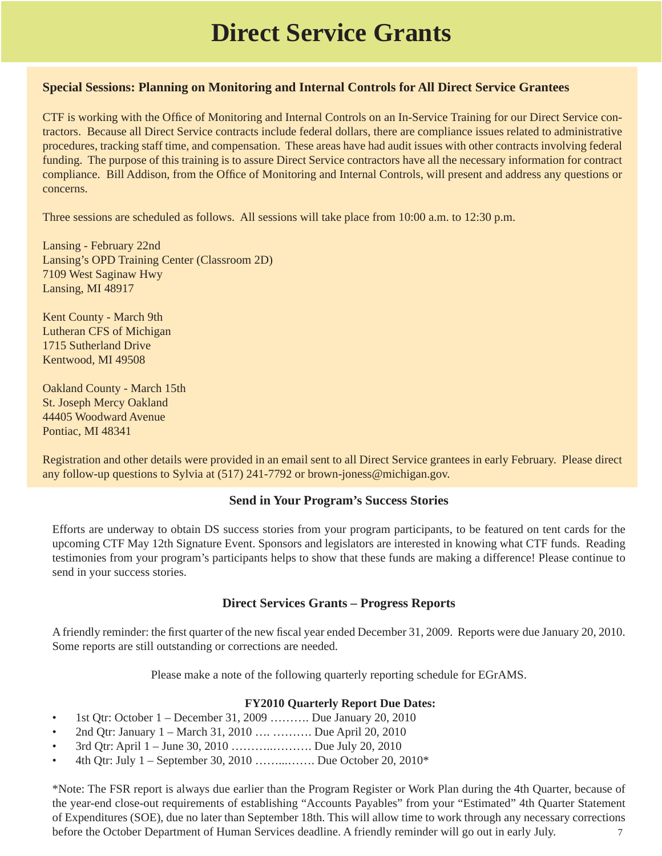## **Direct Service Grants**

#### **Special Sessions: Planning on Monitoring and Internal Controls for All Direct Service Grantees**

CTF is working with the Office of Monitoring and Internal Controls on an In-Service Training for our Direct Service contractors. Because all Direct Service contracts include federal dollars, there are compliance issues related to administrative procedures, tracking staff time, and compensation. These areas have had audit issues with other contracts involving federal funding. The purpose of this training is to assure Direct Service contractors have all the necessary information for contract compliance. Bill Addison, from the Office of Monitoring and Internal Controls, will present and address any questions or concerns.

Three sessions are scheduled as follows. All sessions will take place from 10:00 a.m. to 12:30 p.m.

Lansing - February 22nd Lansing's OPD Training Center (Classroom 2D) 7109 West Saginaw Hwy Lansing, MI 48917

Kent County - March 9th Lutheran CFS of Michigan 1715 Sutherland Drive Kentwood, MI 49508

Oakland County - March 15th St. Joseph Mercy Oakland 44405 Woodward Avenue Pontiac, MI 48341

Registration and other details were provided in an email sent to all Direct Service grantees in early February. Please direct any follow-up questions to Sylvia at (517) 241-7792 or brown-joness@michigan.gov.

#### **Send in Your Program's Success Stories**

Efforts are underway to obtain DS success stories from your program participants, to be featured on tent cards for the upcoming CTF May 12th Signature Event. Sponsors and legislators are interested in knowing what CTF funds. Reading testimonies from your program's participants helps to show that these funds are making a difference! Please continue to send in your success stories.

#### **Direct Services Grants – Progress Reports**

A friendly reminder: the first quarter of the new fiscal year ended December 31, 2009. Reports were due January 20, 2010. Some reports are still outstanding or corrections are needed.

Please make a note of the following quarterly reporting schedule for EGrAMS.

#### **FY2010 Quarterly Report Due Dates:**

- 1st Qtr: October  $1 -$  December 31, 2009 ………. Due January 20, 2010
- 2nd Qtr: January 1 March 31, 2010 …. ………. Due April 20, 2010
- 3rd Qtr: April 1 June 30, 2010 ………..………. Due July 20, 2010
- 4th Qtr: July 1 September 30, 2010 ……...……. Due October 20, 2010\*

\*Note: The FSR report is always due earlier than the Program Register or Work Plan during the 4th Quarter, because of the year-end close-out requirements of establishing "Accounts Payables" from your "Estimated" 4th Quarter Statement of Expenditures (SOE), due no later than September 18th. This will allow time to work through any necessary corrections before the October Department of Human Services deadline. A friendly reminder will go out in early July.  $\frac{7}{100}$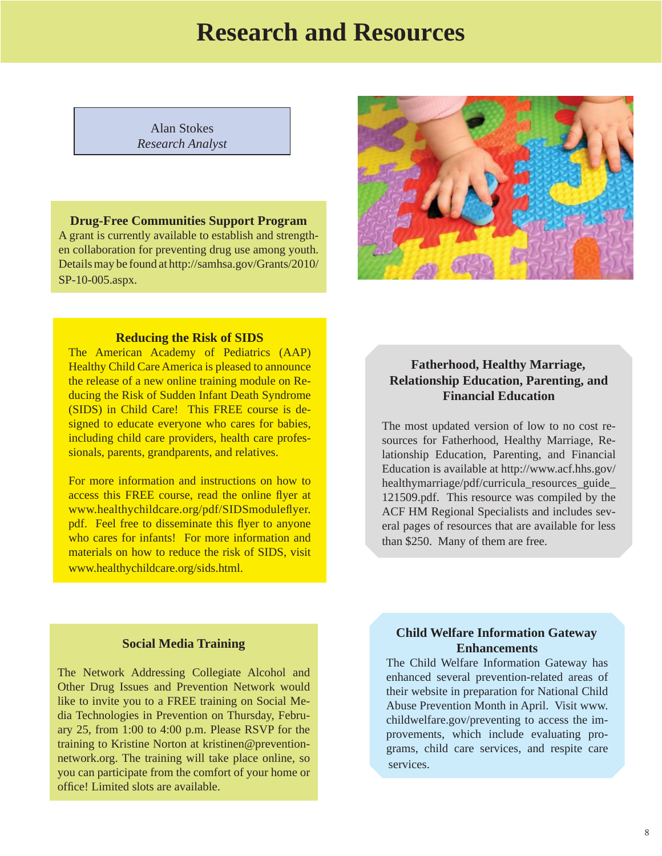## **Research and Resources**

<span id="page-7-0"></span>Alan Stokes *Research Analyst*

#### **Drug-Free Communities Support Program**

A grant is currently available to establish and strengthen collaboration for preventing drug use among youth. [Details may be found at http://samhsa.gov/Grants/2010/](http://samhsa.gov/Grants/2010/SP-10-005.aspx) SP-10-005.aspx.



#### **Reducing the Risk of SIDS**

The American Academy of Pediatrics (AAP) Healthy Child Care America is pleased to announce the release of a new online training module on Reducing the Risk of Sudden Infant Death Syndrome (SIDS) in Child Care! This FREE course is designed to educate everyone who cares for babies, including child care providers, health care professionals, parents, grandparents, and relatives.

For more information and instructions on how to access this FREE course, read the online flyer at www.healthychildcare.org/pdf/SIDSmoduleflyer. pdf. Feel free to disseminate this flyer to anyone who cares for infants! For more information and materials on how to reduce the risk of SIDS, visit www.healthychildcare.org/sids.html.

#### **Fatherhood, Healthy Marriage, Relationship Education, Parenting, and Financial Education**

The most updated version of low to no cost resources for Fatherhood, Healthy Marriage, Relationship Education, Parenting, and Financial Education is available at http://www.acf.hhs.gov/ healthymarriage/pdf/curricula\_resources\_guide [121509.pdf. This resource was compiled by the](http://www.acf.hhs.gov/healthymarriage/pdf/curricula_resources_guide_121509.pdf)  ACF HM Regional Specialists and includes several pages of resources that are available for less than \$250. Many of them are free.

#### **Social Media Training**

The Network Addressing Collegiate Alcohol and Other Drug Issues and Prevention Network would like to invite you to a FREE training on Social Media Technologies in Prevention on Thursday, February 25, from 1:00 to 4:00 p.m. Please RSVP for the training to Kristine Norton at kristinen@preventionnetwork.org. The training will take place online, so you can participate from the comfort of your home or office! Limited slots are available.

#### **Child Welfare Information Gateway Enhancements**

The Child Welfare Information Gateway has enhanced several prevention-related areas of their website in preparation for National Child Abuse Prevention Month in April. Visit www. childwelfare.gov/preventing to access the improvements, which include evaluating programs, child care services, and respite care services.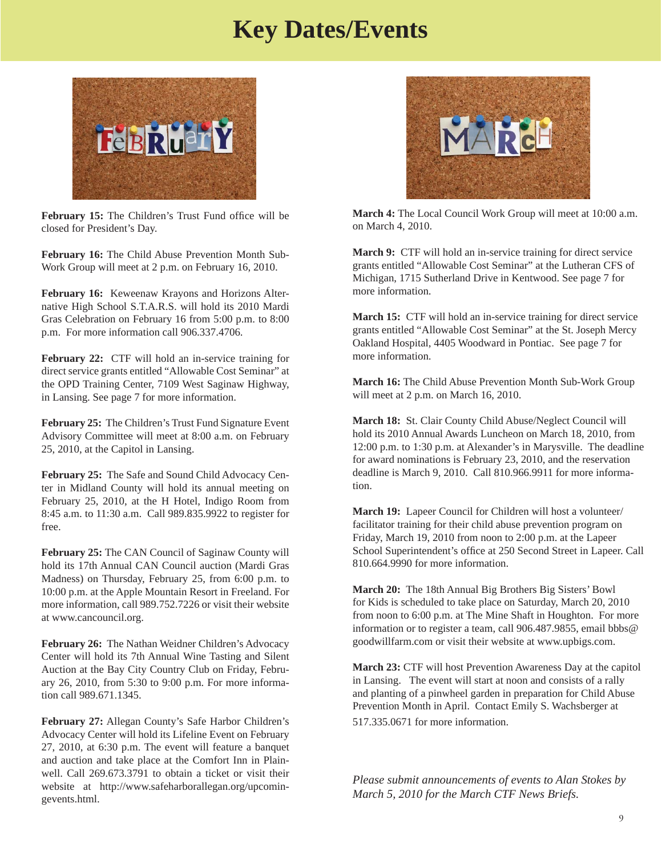## **Key Dates/Events**

<span id="page-8-0"></span>

**February 15:** The Children's Trust Fund office will be closed for President's Day.

**February 16:** The Child Abuse Prevention Month Sub-Work Group will meet at 2 p.m. on February 16, 2010.

**February 16:** Keweenaw Krayons and Horizons Alternative High School S.T.A.R.S. will hold its 2010 Mardi Gras Celebration on February 16 from 5:00 p.m. to 8:00 p.m. For more information call 906.337.4706.

**February 22:** CTF will hold an in-service training for direct service grants entitled "Allowable Cost Seminar" at the OPD Training Center, 7109 West Saginaw Highway, in Lansing. See page 7 for more information.

**February 25:** The Children's Trust Fund Signature Event Advisory Committee will meet at 8:00 a.m. on February 25, 2010, at the Capitol in Lansing.

**February 25:** The Safe and Sound Child Advocacy Center in Midland County will hold its annual meeting on February 25, 2010, at the H Hotel, Indigo Room from 8:45 a.m. to 11:30 a.m. Call 989.835.9922 to register for free.

**February 25:** The CAN Council of Saginaw County will hold its 17th Annual CAN Council auction (Mardi Gras Madness) on Thursday, February 25, from 6:00 p.m. to 10:00 p.m. at the Apple Mountain Resort in Freeland. For more information, call 989.752.7226 or visit their website at www.cancouncil.org.

**February 26:** The Nathan Weidner Children's Advocacy Center will hold its 7th Annual Wine Tasting and Silent Auction at the Bay City Country Club on Friday, February 26, 2010, from 5:30 to 9:00 p.m. For more information call 989.671.1345.

**February 27:** Allegan County's Safe Harbor Children's Advocacy Center will hold its Lifeline Event on February 27, 2010, at 6:30 p.m. The event will feature a banquet and auction and take place at the Comfort Inn in Plainwell. Call 269.673.3791 to obtain a ticket or visit their [website at http://www.safeharborallegan.org/upcomin](http://www.safeharborallegan.org/upcomingevents.html)gevents.html.



**March 4:** The Local Council Work Group will meet at 10:00 a.m. on March 4, 2010.

**March 9:** CTF will hold an in-service training for direct service grants entitled "Allowable Cost Seminar" at the Lutheran CFS of Michigan, 1715 Sutherland Drive in Kentwood. See page 7 for more information.

**March 15:** CTF will hold an in-service training for direct service grants entitled "Allowable Cost Seminar" at the St. Joseph Mercy Oakland Hospital, 4405 Woodward in Pontiac. See page 7 for more information.

**March 16:** The Child Abuse Prevention Month Sub-Work Group will meet at 2 p.m. on March 16, 2010.

**March 18:** St. Clair County Child Abuse/Neglect Council will hold its 2010 Annual Awards Luncheon on March 18, 2010, from 12:00 p.m. to 1:30 p.m. at Alexander's in Marysville. The deadline for award nominations is February 23, 2010, and the reservation deadline is March 9, 2010. Call 810.966.9911 for more information.

**March 19:** Lapeer Council for Children will host a volunteer/ facilitator training for their child abuse prevention program on Friday, March 19, 2010 from noon to 2:00 p.m. at the Lapeer School Superintendent's office at 250 Second Street in Lapeer. Call 810.664.9990 for more information.

**March 20:** The 18th Annual Big Brothers Big Sisters' Bowl for Kids is scheduled to take place on Saturday, March 20, 2010 from noon to 6:00 p.m. at The Mine Shaft in Houghton. For more information or to register a team, call 906.487.9855, email bbbs@ goodwillfarm.com or visit their website at www.upbigs.com.

**March 23:** CTF will host Prevention Awareness Day at the capitol in Lansing. The event will start at noon and consists of a rally and planting of a pinwheel garden in preparation for Child Abuse Prevention Month in April. Contact Emily S. Wachsberger at 517.335.0671 for more information.

*Please submit announcements of events to Alan Stokes by March 5, 2010 for the March CTF News Briefs.*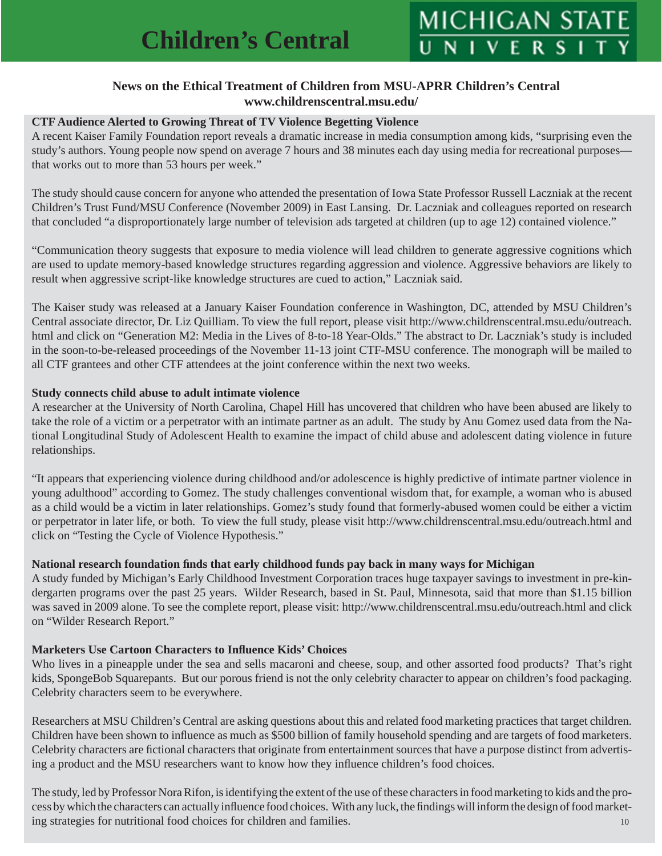#### **News on the Ethical Treatment of Children from MSU-APRR Children's Central www.childrenscentral.msu.edu/**

#### <span id="page-9-0"></span>**CTF Audience Alerted to Growing Threat of TV Violence Begetting Violence**

A recent Kaiser Family Foundation report reveals a dramatic increase in media consumption among kids, "surprising even the study's authors. Young people now spend on average 7 hours and 38 minutes each day using media for recreational purposes that works out to more than 53 hours per week."

The study should cause concern for anyone who attended the presentation of Iowa State Professor Russell Laczniak at the recent Children's Trust Fund/MSU Conference (November 2009) in East Lansing. Dr. Laczniak and colleagues reported on research that concluded "a disproportionately large number of television ads targeted at children (up to age 12) contained violence."

"Communication theory suggests that exposure to media violence will lead children to generate aggressive cognitions which are used to update memory-based knowledge structures regarding aggression and violence. Aggressive behaviors are likely to result when aggressive script-like knowledge structures are cued to action," Laczniak said.

The Kaiser study was released at a January Kaiser Foundation conference in Washington, DC, attended by MSU Children's Central associate director, Dr. Liz Quilliam. To view the full report, please visit http://www.childrenscentral.msu.edu/outreach. html and click on "Generation M2: Media in the Lives of 8-to-18 Year-Olds." The abstract to Dr. Laczniak's study is included in the soon-to-be-released proceedings of the November 11-13 joint CTF-MSU conference. The monograph will be mailed to all CTF grantees and other CTF attendees at the joint conference within the next two weeks.

#### **Study connects child abuse to adult intimate violence**

A researcher at the University of North Carolina, Chapel Hill has uncovered that children who have been abused are likely to take the role of a victim or a perpetrator with an intimate partner as an adult. The study by Anu Gomez used data from the National Longitudinal Study of Adolescent Health to examine the impact of child abuse and adolescent dating violence in future relationships.

"It appears that experiencing violence during childhood and/or adolescence is highly predictive of intimate partner violence in young adulthood" according to Gomez. The study challenges conventional wisdom that, for example, a woman who is abused as a child would be a victim in later relationships. Gomez's study found that formerly-abused women could be either a victim or perpetrator in later life, or both. To view the full study, please visit http://www.childrenscentral.msu.edu/outreach.html and click on "Testing the Cycle of Violence Hypothesis."

#### **National research foundation fi nds that early childhood funds pay back in many ways for Michigan**

A study funded by Michigan's Early Childhood Investment Corporation traces huge taxpayer savings to investment in pre-kindergarten programs over the past 25 years. Wilder Research, based in St. Paul, Minnesota, said that more than \$1.15 billion was saved in 2009 alone. To see the complete report, please visit: http://www.childrenscentral.msu.edu/outreach.html and click on "Wilder Research Report."

#### **Marketers Use Cartoon Characters to Infl uence Kids' Choices**

Who lives in a pineapple under the sea and sells macaroni and cheese, soup, and other assorted food products? That's right kids, SpongeBob Squarepants. But our porous friend is not the only celebrity character to appear on children's food packaging. Celebrity characters seem to be everywhere.

Researchers at MSU Children's Central are asking questions about this and related food marketing practices that target children. Children have been shown to influence as much as \$500 billion of family household spending and are targets of food marketers. Celebrity characters are fictional characters that originate from entertainment sources that have a purpose distinct from advertising a product and the MSU researchers want to know how they influence children's food choices.

The study, led by Professor Nora Rifon, is identifying the extent of the use of these characters in food marketing to kids and the process by which the characters can actually influence food choices. With any luck, the findings will inform the design of food marketing strategies for nutritional food choices for children and families. 10